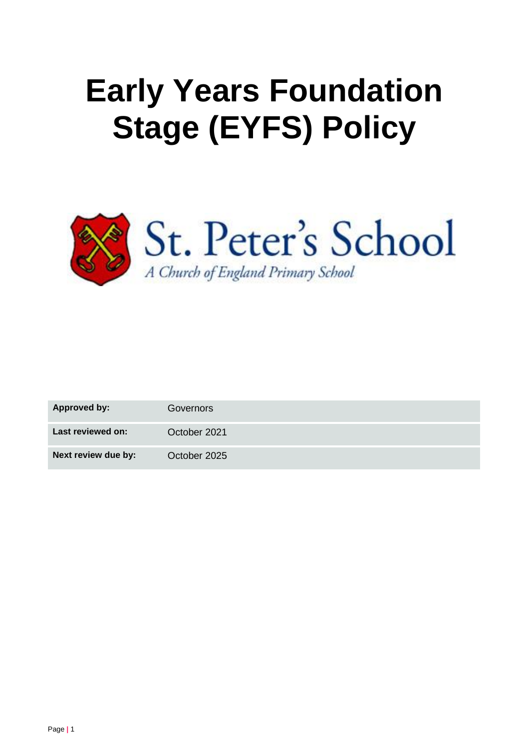# **Early Years Foundation Stage (EYFS) Policy**



| Approved by:        | Governors    |
|---------------------|--------------|
| Last reviewed on:   | October 2021 |
| Next review due by: | October 2025 |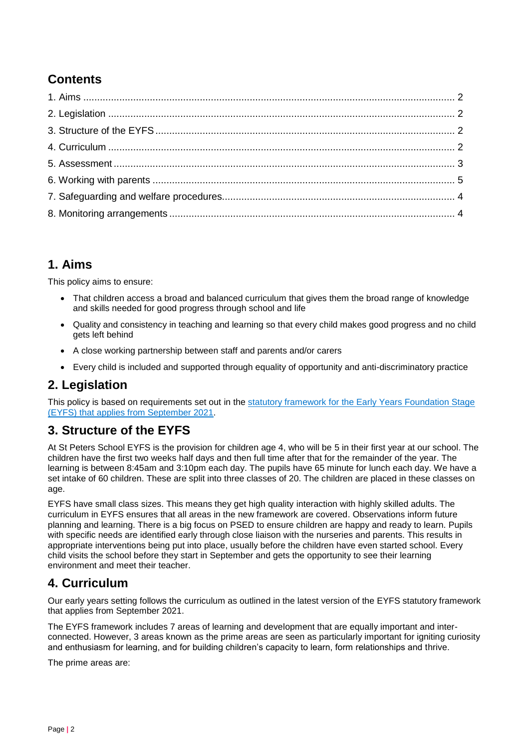## **Contents**

## **1. Aims**

This policy aims to ensure:

- That children access a broad and balanced curriculum that gives them the broad range of knowledge and skills needed for good progress through school and life
- Quality and consistency in teaching and learning so that every child makes good progress and no child gets left behind
- A close working partnership between staff and parents and/or carers
- Every child is included and supported through equality of opportunity and anti-discriminatory practice

## **2. Legislation**

This policy is based on requirements set out in the [statutory framework for the Early Years Foundation Stage](https://www.gov.uk/government/publications/early-years-foundation-stage-framework--2/)  (EYFS) that [applies from September 2021.](https://www.gov.uk/government/publications/early-years-foundation-stage-framework--2/)

## **3. Structure of the EYFS**

At St Peters School EYFS is the provision for children age 4, who will be 5 in their first year at our school. The children have the first two weeks half days and then full time after that for the remainder of the year. The learning is between 8:45am and 3:10pm each day. The pupils have 65 minute for lunch each day. We have a set intake of 60 children. These are split into three classes of 20. The children are placed in these classes on age.

EYFS have small class sizes. This means they get high quality interaction with highly skilled adults. The curriculum in EYFS ensures that all areas in the new framework are covered. Observations inform future planning and learning. There is a big focus on PSED to ensure children are happy and ready to learn. Pupils with specific needs are identified early through close liaison with the nurseries and parents. This results in appropriate interventions being put into place, usually before the children have even started school. Every child visits the school before they start in September and gets the opportunity to see their learning environment and meet their teacher.

## **4. Curriculum**

Our early years setting follows the curriculum as outlined in the latest version of the EYFS statutory framework that applies from September 2021.

The EYFS framework includes 7 areas of learning and development that are equally important and interconnected. However, 3 areas known as the prime areas are seen as particularly important for igniting curiosity and enthusiasm for learning, and for building children's capacity to learn, form relationships and thrive.

The prime areas are: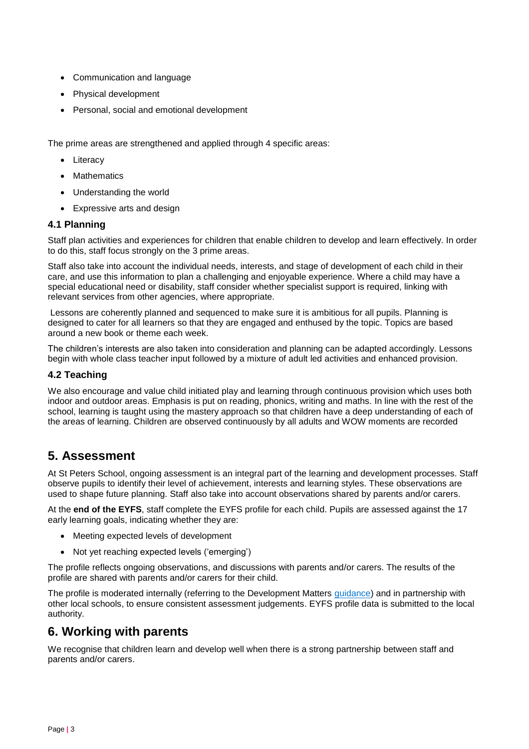- Communication and language
- Physical development
- Personal, social and emotional development

The prime areas are strengthened and applied through 4 specific areas:

- Literacy
- Mathematics
- Understanding the world
- Expressive arts and design

#### **4.1 Planning**

Staff plan activities and experiences for children that enable children to develop and learn effectively. In order to do this, staff focus strongly on the 3 prime areas.

Staff also take into account the individual needs, interests, and stage of development of each child in their care, and use this information to plan a challenging and enjoyable experience. Where a child may have a special educational need or disability, staff consider whether specialist support is required, linking with relevant services from other agencies, where appropriate.

Lessons are coherently planned and sequenced to make sure it is ambitious for all pupils. Planning is designed to cater for all learners so that they are engaged and enthused by the topic. Topics are based around a new book or theme each week.

The children's interests are also taken into consideration and planning can be adapted accordingly. Lessons begin with whole class teacher input followed by a mixture of adult led activities and enhanced provision.

#### **4.2 Teaching**

We also encourage and value child initiated play and learning through continuous provision which uses both indoor and outdoor areas. Emphasis is put on reading, phonics, writing and maths. In line with the rest of the school, learning is taught using the mastery approach so that children have a deep understanding of each of the areas of learning. Children are observed continuously by all adults and WOW moments are recorded

## **5. Assessment**

At St Peters School, ongoing assessment is an integral part of the learning and development processes. Staff observe pupils to identify their level of achievement, interests and learning styles. These observations are used to shape future planning. Staff also take into account observations shared by parents and/or carers.

At the **end of the EYFS**, staff complete the EYFS profile for each child. Pupils are assessed against the 17 early learning goals, indicating whether they are:

- Meeting expected levels of development
- Not yet reaching expected levels ('emerging')

The profile reflects ongoing observations, and discussions with parents and/or carers. The results of the profile are shared with parents and/or carers for their child.

The profile is moderated internally (referring to the Development Matters [guidance\)](https://www.gov.uk/government/publications/development-matters--2) and in partnership with other local schools, to ensure consistent assessment judgements. EYFS profile data is submitted to the local authority.

## **6. Working with parents**

We recognise that children learn and develop well when there is a strong partnership between staff and parents and/or carers.